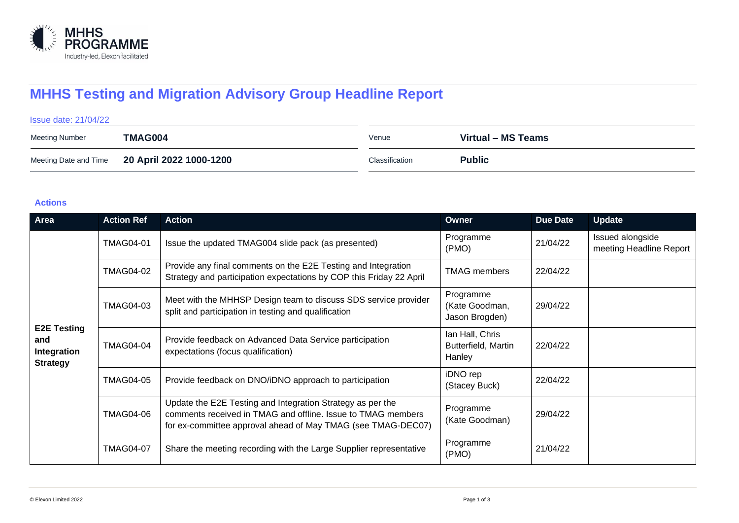

## **MHHS Testing and Migration Advisory Group Headline Report**

# Issue date: 21/04/22 Meeting Number **TMAG004** Venue **Virtual – MS Teams** Meeting Date and Time **20 April 2022 1000-1200 Classification** Classification **Public**

#### **Actions**

| Area                                                        | <b>Action Ref</b> | <b>Action</b>                                                                                                                                                                              | Owner                                            | <b>Due Date</b> | <b>Update</b>                               |
|-------------------------------------------------------------|-------------------|--------------------------------------------------------------------------------------------------------------------------------------------------------------------------------------------|--------------------------------------------------|-----------------|---------------------------------------------|
| <b>E2E Testing</b><br>and<br>Integration<br><b>Strategy</b> | <b>TMAG04-01</b>  | Issue the updated TMAG004 slide pack (as presented)                                                                                                                                        | Programme<br>(PMO)                               | 21/04/22        | Issued alongside<br>meeting Headline Report |
|                                                             | <b>TMAG04-02</b>  | Provide any final comments on the E2E Testing and Integration<br>Strategy and participation expectations by COP this Friday 22 April                                                       | <b>TMAG</b> members                              | 22/04/22        |                                             |
|                                                             | <b>TMAG04-03</b>  | Meet with the MHHSP Design team to discuss SDS service provider<br>split and participation in testing and qualification                                                                    | Programme<br>(Kate Goodman,<br>Jason Brogden)    | 29/04/22        |                                             |
|                                                             | <b>TMAG04-04</b>  | Provide feedback on Advanced Data Service participation<br>expectations (focus qualification)                                                                                              | Ian Hall, Chris<br>Butterfield, Martin<br>Hanley | 22/04/22        |                                             |
|                                                             | <b>TMAG04-05</b>  | Provide feedback on DNO/iDNO approach to participation                                                                                                                                     | iDNO rep<br>(Stacey Buck)                        | 22/04/22        |                                             |
|                                                             | <b>TMAG04-06</b>  | Update the E2E Testing and Integration Strategy as per the<br>comments received in TMAG and offline. Issue to TMAG members<br>for ex-committee approval ahead of May TMAG (see TMAG-DEC07) | Programme<br>(Kate Goodman)                      | 29/04/22        |                                             |
|                                                             | <b>TMAG04-07</b>  | Share the meeting recording with the Large Supplier representative                                                                                                                         | Programme<br>(PMO)                               | 21/04/22        |                                             |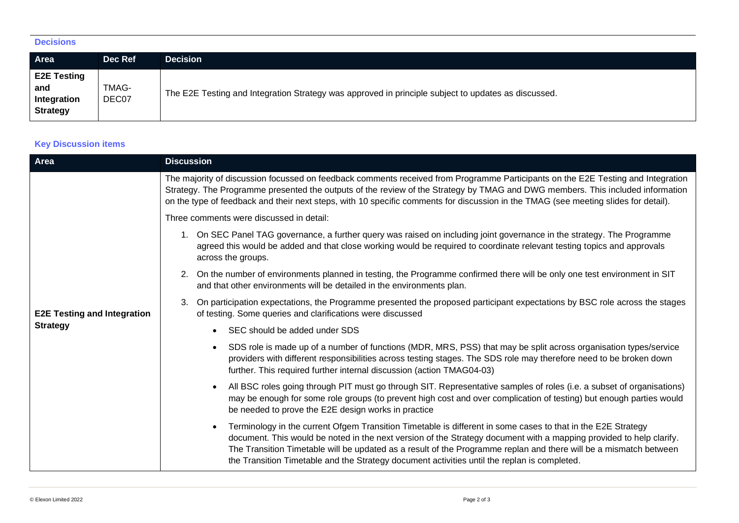## **Decisions**

| Area                                                        | Dec Ref        | <b>Decision</b>                                                                                     |
|-------------------------------------------------------------|----------------|-----------------------------------------------------------------------------------------------------|
| <b>E2E Testing</b><br>and<br>Integration<br><b>Strategy</b> | TMAG-<br>DEC07 | The E2E Testing and Integration Strategy was approved in principle subject to updates as discussed. |

## **Key Discussion items**

| Area                               | <b>Discussion</b>                                                                                                                                                                                                                                                                                                                                                                                                                                        |  |  |
|------------------------------------|----------------------------------------------------------------------------------------------------------------------------------------------------------------------------------------------------------------------------------------------------------------------------------------------------------------------------------------------------------------------------------------------------------------------------------------------------------|--|--|
|                                    | The majority of discussion focussed on feedback comments received from Programme Participants on the E2E Testing and Integration<br>Strategy. The Programme presented the outputs of the review of the Strategy by TMAG and DWG members. This included information<br>on the type of feedback and their next steps, with 10 specific comments for discussion in the TMAG (see meeting slides for detail).                                                |  |  |
|                                    | Three comments were discussed in detail:                                                                                                                                                                                                                                                                                                                                                                                                                 |  |  |
|                                    | 1. On SEC Panel TAG governance, a further query was raised on including joint governance in the strategy. The Programme<br>agreed this would be added and that close working would be required to coordinate relevant testing topics and approvals<br>across the groups.                                                                                                                                                                                 |  |  |
|                                    | 2. On the number of environments planned in testing, the Programme confirmed there will be only one test environment in SIT<br>and that other environments will be detailed in the environments plan.                                                                                                                                                                                                                                                    |  |  |
| <b>E2E Testing and Integration</b> | On participation expectations, the Programme presented the proposed participant expectations by BSC role across the stages<br>3.<br>of testing. Some queries and clarifications were discussed                                                                                                                                                                                                                                                           |  |  |
| <b>Strategy</b>                    | SEC should be added under SDS                                                                                                                                                                                                                                                                                                                                                                                                                            |  |  |
|                                    | SDS role is made up of a number of functions (MDR, MRS, PSS) that may be split across organisation types/service<br>providers with different responsibilities across testing stages. The SDS role may therefore need to be broken down<br>further. This required further internal discussion (action TMAG04-03)                                                                                                                                          |  |  |
|                                    | All BSC roles going through PIT must go through SIT. Representative samples of roles (i.e. a subset of organisations)<br>may be enough for some role groups (to prevent high cost and over complication of testing) but enough parties would<br>be needed to prove the E2E design works in practice                                                                                                                                                      |  |  |
|                                    | Terminology in the current Ofgem Transition Timetable is different in some cases to that in the E2E Strategy<br>document. This would be noted in the next version of the Strategy document with a mapping provided to help clarify.<br>The Transition Timetable will be updated as a result of the Programme replan and there will be a mismatch between<br>the Transition Timetable and the Strategy document activities until the replan is completed. |  |  |